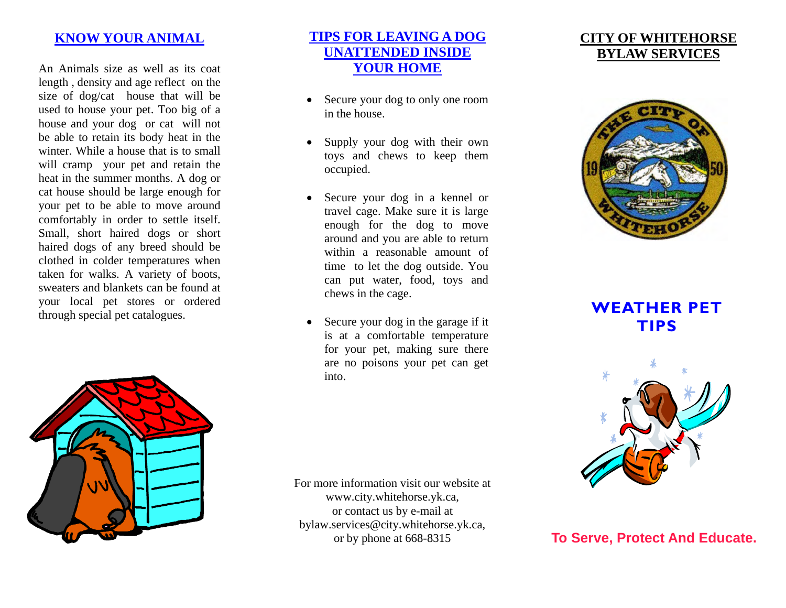### **KNOW YOUR ANIMAL**

An Animals size as well as its coat length , density and age reflect on the size of dog/cat house that will be used to house your pet. Too big of a house and your dog or cat will not be able to retain its body heat in the winter. While a house that is to small will cramp your pet and retain the heat in the summer months. A dog or cat house should be large enough for your pet to be able to move around comfortably in order to settle itself. Small, short haired dogs or short haired dogs of any breed should be clothed in colder temperatures when taken for walks. A variety of boots, sweaters and blankets can be found at your local pet stores or ordered through special pet catalogues.



## **TIPS FOR LEAVING A DOG UNATTENDED INSIDE YOUR HOME**

- Secure your dog to only one room in the house.
- Supply your dog with their own toys and chews to keep them occupied.
- Secure your dog in a kennel or travel cage. Make sure it is large enough for the dog to move around and you are able to return within a reasonable amount of time to let the dog outside. You can put water, food, toys and chews in the cage.
- Secure your dog in the garage if it is at a comfortable temperature for your pet, making sure there are no poisons your pet can get into.

For more information visit our website at www.city.whitehorse.yk.ca, or contact us by e-mail at bylaw.services@city.whitehorse.yk.ca, or by phone at 668-8315

# **CITY OF WHITEHORSEBYLAW SERVICES**



**WEATHER PET TIPS** 



**To Serve, Protect And Educate.**